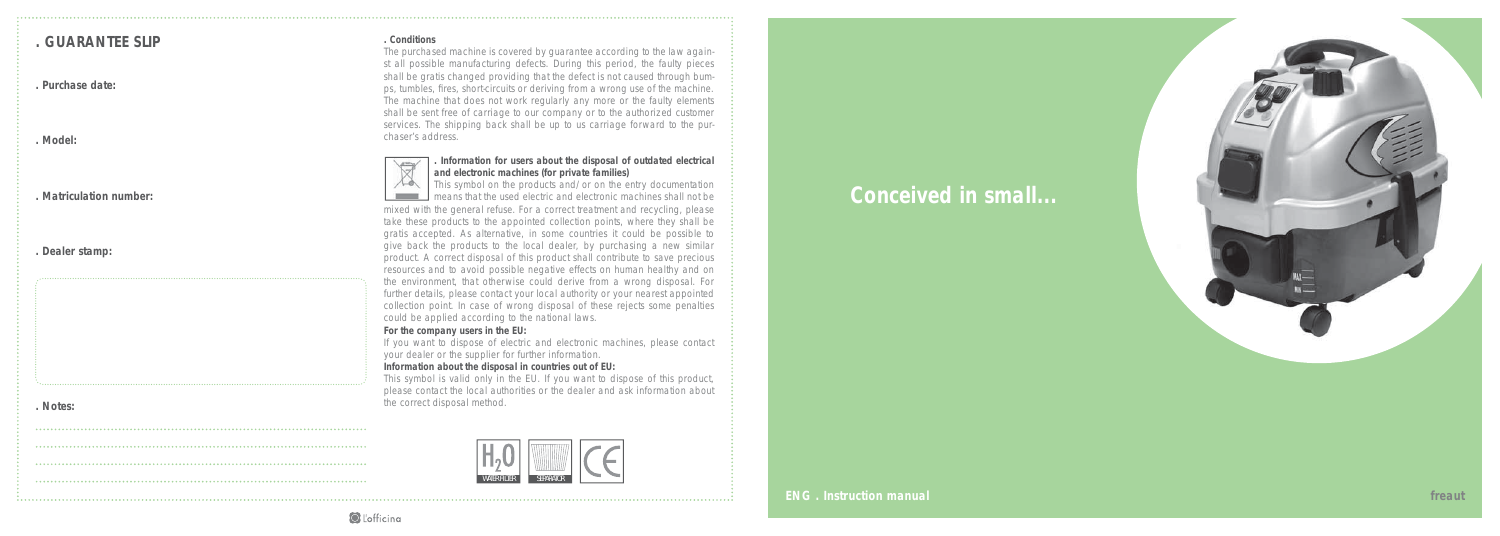| . GUARANTEE SLIP        | . Conditions<br>The purchased machine is covered by guarantee according to the law again-<br>st all possible manufacturing defects. During this period, the faulty pieces                                                                                                                                                                                                                                                |                    |
|-------------------------|--------------------------------------------------------------------------------------------------------------------------------------------------------------------------------------------------------------------------------------------------------------------------------------------------------------------------------------------------------------------------------------------------------------------------|--------------------|
| . Purchase date:        | shall be gratis changed providing that the defect is not caused through bum-<br>ps, tumbles, fires, short-circuits or deriving from a wrong use of the machine.<br>The machine that does not work regularly any more or the faulty elements<br>shall be sent free of carriage to our company or to the authorized customer                                                                                               |                    |
| . Model:                | services. The shipping back shall be up to us carriage forward to the pur-<br>chaser's address.                                                                                                                                                                                                                                                                                                                          |                    |
| . Matriculation number: | . Information for users about the disposal of outdated electrical<br>and electronic machines (for private families)<br>This symbol on the products and/or on the entry documentation<br>means that the used electric and electronic machines shall not be<br>mixed with the general refuse. For a correct treatment and recycling, please<br>take these products to the appointed collection points, where they shall be | Conceived in small |
| . Dealer stamp:         | gratis accepted. As alternative, in some countries it could be possible to<br>give back the products to the local dealer, by purchasing a new similar<br>product. A correct disposal of this product shall contribute to save precious<br>resources and to avoid possible negative effects on human healthy and on                                                                                                       |                    |
|                         | the environment, that otherwise could derive from a wrong disposal. For<br>further details, please contact your local authority or your nearest appointed<br>collection point. In case of wrong disposal of these rejects some penalties<br>could be applied according to the national laws.<br>For the company users in the EU:                                                                                         |                    |
|                         | If you want to dispose of electric and electronic machines, please contact<br>your dealer or the supplier for further information.<br>Information about the disposal in countries out of EU:<br>This symbol is valid only in the EU. If you want to dispose of this product,                                                                                                                                             |                    |
| . Notes:                | please contact the local authorities or the dealer and ask information about<br>the correct disposal method.                                                                                                                                                                                                                                                                                                             |                    |
|                         |                                                                                                                                                                                                                                                                                                                                                                                                                          |                    |
|                         |                                                                                                                                                                                                                                                                                                                                                                                                                          |                    |
|                         |                                                                                                                                                                                                                                                                                                                                                                                                                          |                    |
|                         |                                                                                                                                                                                                                                                                                                                                                                                                                          |                    |



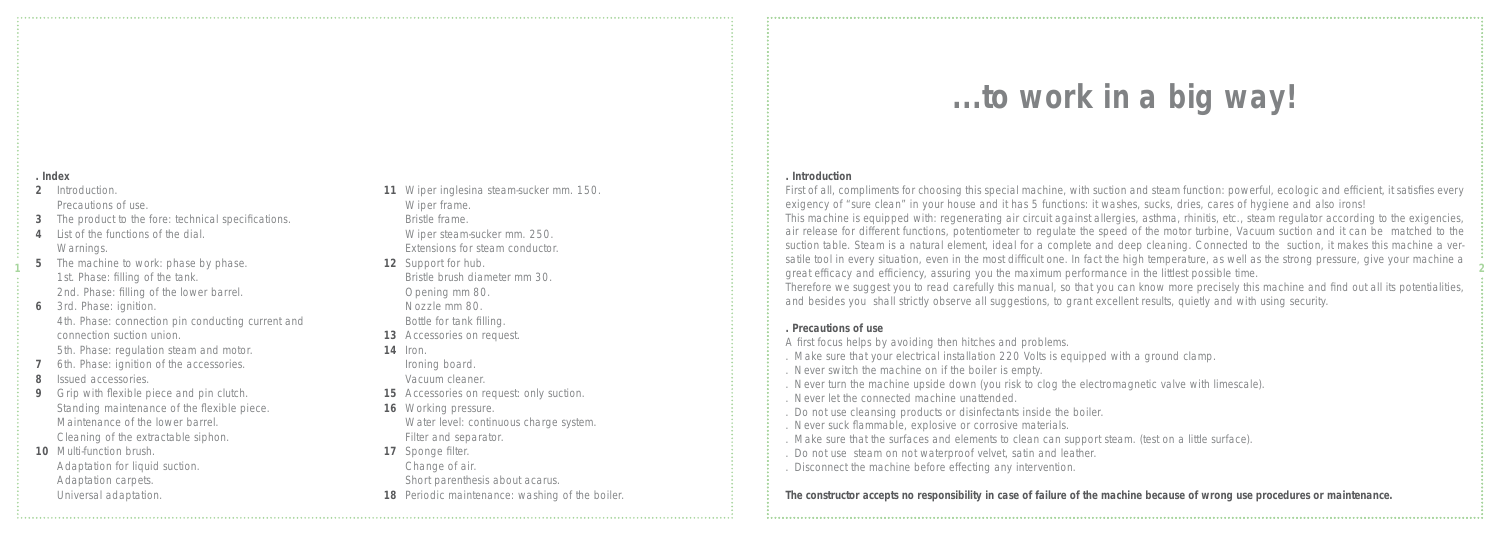#### **. Introduction**

First of all, compliments for choosing this special machine, with suction and steam function: powerful, ecologic and efficient, it satisfies every exigency of "sure clean" in your house and it has 5 functions: it washes, sucks, dries, cares of hygiene and also irons! This machine is equipped with: regenerating air circuit against allergies, asthma, rhinitis, etc., steam regulator according to the exigencies, air release for different functions, potentiometer to regulate the speed of the motor turbine, Vacuum suction and it can be matched to the suction table. Steam is a natural element, ideal for a complete and deep cleaning. Connected to the suction, it makes this machine a versatile tool in every situation, even in the most difficult one. In fact the high temperature, as well as the strong pressure, give your machine a great efficacy and efficiency, assuring you the maximum performance in the littlest possible time. Therefore we suggest you to read carefully this manual, so that you can know more precisely this machine and find out all its potentialities, and besides you shall strictly observe all suggestions, to grant excellent results, quietly and with using security.

A first focus helps by avoiding then hitches and problems. . Make sure that your electrical installation 220 Volts is equipped with a ground clamp. . Never switch the machine on if the boiler is empty. . Never turn the machine upside down (you risk to clog the electromagnetic valve with limescale). . Never let the connected machine unattended. . Do not use cleansing products or disinfectants inside the boiler. Never suck flammable, explosive or corrosive materials. . Make sure that the surfaces and elements to clean can support steam. (test on a little surface). . Do not use steam on not waterproof velvet, satin and leather. . Disconnect the machine before effecting any intervention. **The constructor accepts no responsibility in case of failure of the machine because of wrong use procedures or maintenance.**

#### **. Precautions of use**

- **3** The product to the fore: technical specifications.
- **4** List of the functions of the dial. **Warnings**
- **5** The machine to work: phase by phase. 1st. Phase: filling of the tank. 2nd. Phase: filling of the lower barrel.
- **6** 3rd. Phase: ignition. 4th. Phase: connection pin conducting current and connection suction union. 5th. Phase: regulation steam and motor.
- **7** 6th. Phase: ignition of the accessories.
- **8** Issued accessories.
- **9** Grip with flexible piece and pin clutch. Standing maintenance of the flexible piece. Maintenance of the lower barrel. Cleaning of the extractable siphon.
- **10** Multi-function brush. Adaptation for liquid suction. Adaptation carpets. Universal adaptation.
- **11** Wiper inglesina steam-sucker mm. 150. Wiper frame. Bristle frame. Wiper steam-sucker mm. 250. Extensions for steam conductor. **12** Support for hub.
- Bristle brush diameter mm 30. Opening mm 80. Nozzle mm 80. Bottle for tank filling.
- **13** Accessories on request.
- **14** Iron.
- Ironing board. Vacuum cleaner.
- **15** Accessories on request: only suction.
- **16** Working pressure. Water level: continuous charge system. Filter and separator.
- 17 Sponge filter. Change of air.
	- Short parenthesis about acarus.
- **18** Periodic maintenance: washing of the boiler

#### **. Index**

**2** Introduction.

Precautions of use.

# **...to work in a big way!**

**1**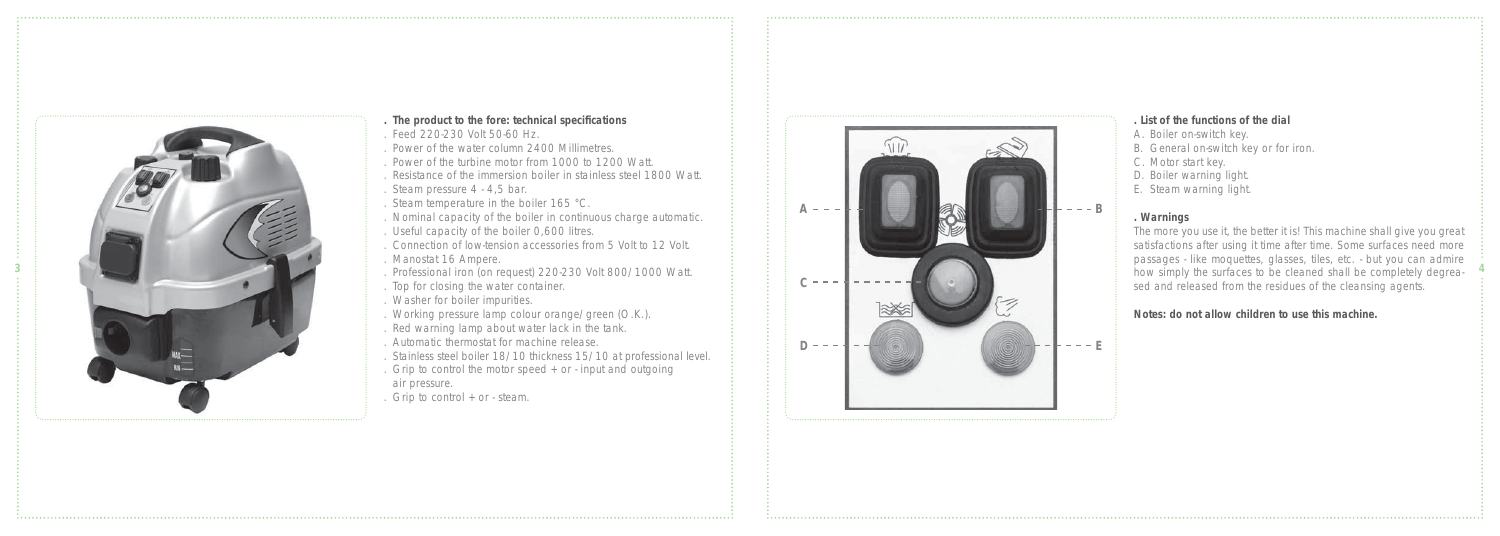

#### **. The product to the fore: technical specifications**

**4**

- . Power of the water column 2400 Millimetres.
- . Power of the turbine motor from 1000 to 1200 Watt.
- . Resistance of the immersion boiler in stainless steel 1800 Watt.
- Steam pressure 4 4,5 bar.
- Steam temperature in the boiler 165 °C.
- . Nominal capacity of the boiler in continuous charge automatic.
- . Useful capacity of the boiler 0,600 litres.
- . Connection of low-tension accessories from 5 Volt to 12 Volt.
- . Manostat 16 Ampere.
- . Professional iron (on request) 220-230 Volt 800/1000 Watt.
- . Top for closing the water container.
- . Washer for boiler impurities.
- . Working pressure lamp colour orange/green (O.K.).
- . Red warning lamp about water lack in the tank.
- . Automatic thermostat for machine release.
- . Stainless steel boiler 18/10 thickness 15/10 at professional level.
- . Grip to control the motor speed + or input and outgoing air pressure.
- Grip to control + or steam.

. Feed 220-230 Volt 50-60 Hz.

# **. List of the functions of the dial**

- A. Boiler on-switch key.
- B. General on-switch key or for iron.
- C. Motor start key.
- D. Boiler warning light.
- E. Steam warning light.

#### **. Warnings**

The more you use it, the better it is! This machine shall give you great satisfactions after using it time after time. Some surfaces need more passages - like moquettes, glasses, tiles, etc. - but you can admire how simply the surfaces to be cleaned shall be completely degreased and released from the residues of the cleansing agents.

**Notes: do not allow children to use this machine.**

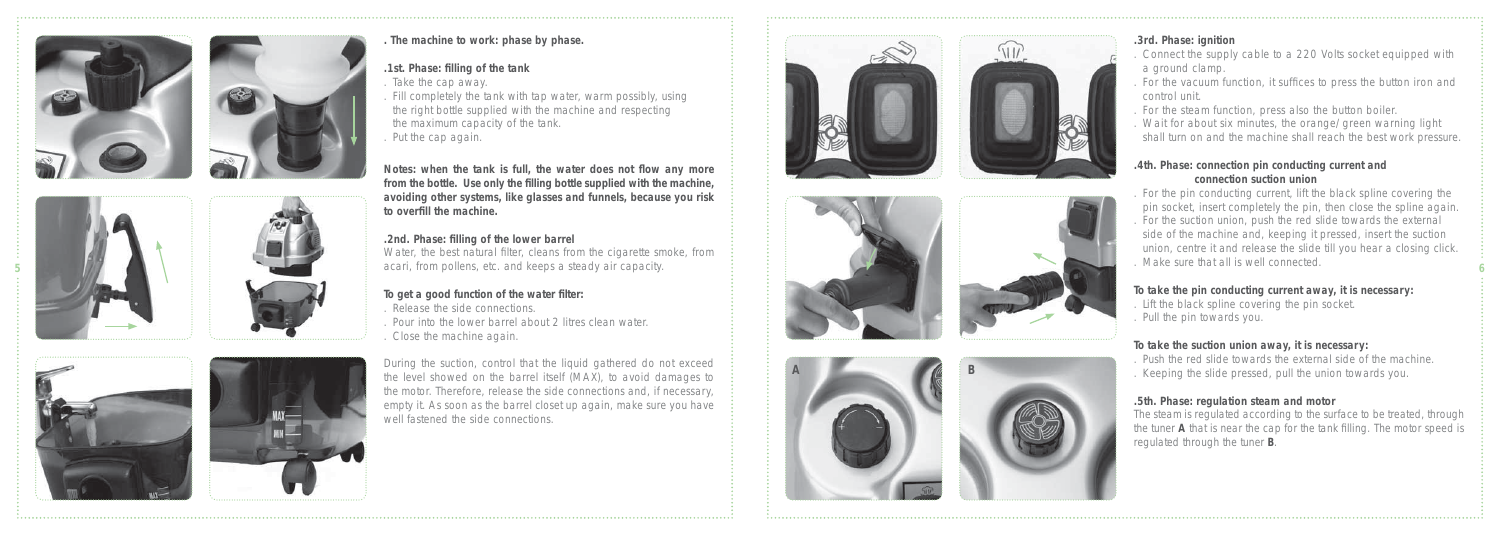





**6**



**. The machine to work: phase by phase.**

# *.1st. Phase: fi lling of the tank*

- . Take the cap away.
- . Fill completely the tank with tap water, warm possibly, using the right bottle supplied with the machine and respecting the maximum capacity of the tank.
- . Put the cap again.

Notes: when the tank is full, the water does not flow any more from the bottle. Use only the filling bottle supplied with the machine, **avoiding other systems, like glasses and funnels, because you risk**  to overfill the machine

Water, the best natural filter, cleans from the cigarette smoke, from acari, from pollens, etc. and keeps a steady air capacity.

# To get a good function of the water filter:

#### *.2nd. Phase: fi lling of the lower barrel*

- . Release the side connections.
- . Pour into the lower barrel about 2 litres clean water.
- . Close the machine again.

During the suction, control that the liquid gathered do not exceed the level showed on the barrel itself (MAX), to avoid damages to the motor. Therefore, release the side connections and, if necessary, empty it. As soon as the barrel closet up again, make sure you have well fastened the side connections.









# *.3rd. Phase: ignition*

- . Connect the supply cable to a 220 Volts socket equipped with a ground clamp.
- . For the vacuum function, it suffices to press the button iron and control unit.
- . For the steam function, press also the button boiler.
- . Wait for about six minutes, the orange/green warning light shall turn on and the machine shall reach the best work pressure.

# *.4th. Phase: connection pin conducting current and connection suction union*

- . For the pin conducting current, lift the black spline covering the pin socket, insert completely the pin, then close the spline again.
- . For the suction union, push the red slide towards the external side of the machine and, keeping it pressed, insert the suction union, centre it and release the slide till you hear a closing click.

. Make sure that all is well connected.

# **To take the pin conducting current away, it is necessary:**

- . Lift the black spline covering the pin socket.
- . Pull the pin towards you.

# **To take the suction union away, it is necessary:**

- . Push the red slide towards the external side of the machine.
- . Keeping the slide pressed, pull the union towards you.

# *.5th. Phase: regulation steam and motor*

The steam is regulated according to the surface to be treated, through the tuner **A** that is near the cap for the tank filling. The motor speed is regulated through the tuner **B**.



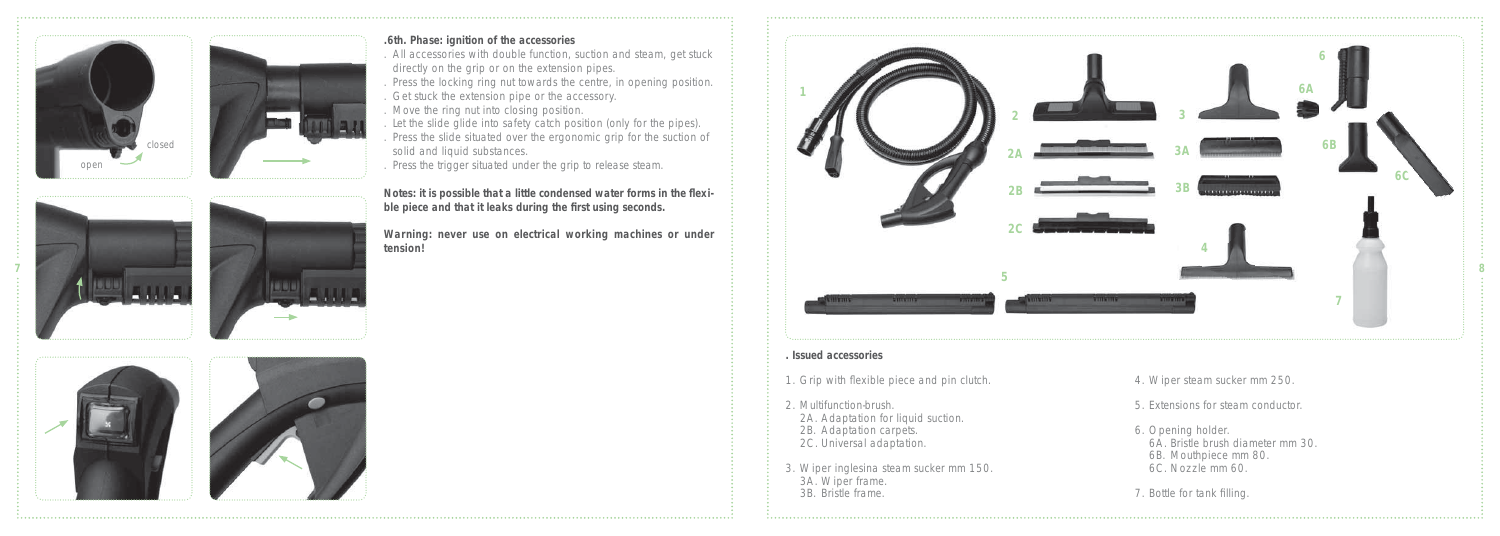



## *.6th. Phase: ignition of the accessories*

- . All accessories with double function, suction and steam, get stuck directly on the grip or on the extension pipes.
- Press the locking ring nut towards the centre, in opening position.
- . Get stuck the extension pipe or the accessory.
- . Move the ring nut into closing position.
- Let the slide glide into safety catch position (only for the pipes).
- . Press the slide situated over the ergonomic grip for the suction of solid and liquid substances.
- . Press the trigger situated under the grip to release steam.

Notes: it is possible that a little condensed water forms in the flexible piece and that it leaks during the first using seconds.

- 4. Wiper steam sucker mm 250.
- 5. Extensions for steam conductor.
- 6. Opening holder. 6A. Bristle brush diameter mm 30. 6B. Mouthpiece mm 80. 6C. Nozzle mm 60.
- 7. Bottle for tank filling.



**Warning: never use on electrical working machines or under tension!**

#### **. Issued accessories**

1. Grip with flexible piece and pin clutch.

- 2. Multifunction-brush.
	- 2A. Adaptation for liquid suction.
	- 2B. Adaptation carpets.
	- 2C. Universal adaptation.
- 3. Wiper inglesina steam sucker mm 150.
- 3A. Wiper frame.
- 3B. Bristle frame.





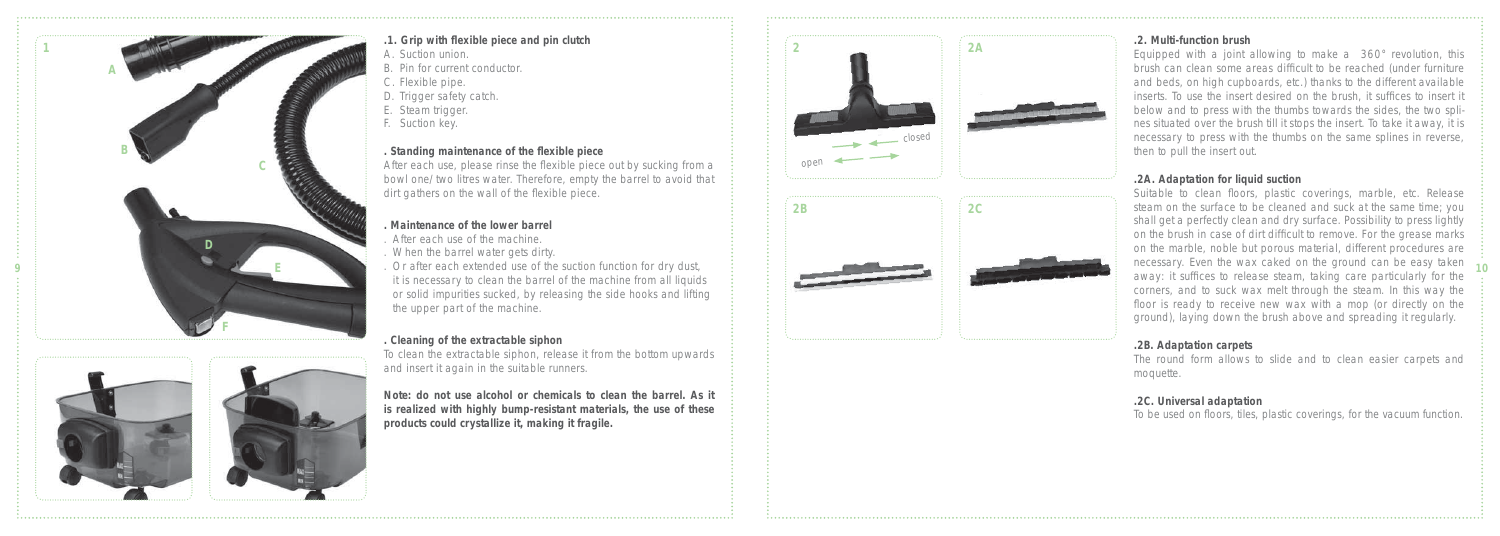#### *.2. Multi-function brush*

Equipped with a joint allowing to make a 360° revolution, this brush can clean some areas difficult to be reached (under furniture and beds, on high cupboards, etc.) thanks to the different available inserts. To use the insert desired on the brush, it suffices to insert it below and to press with the thumbs towards the sides, the two splines situated over the brush till it stops the insert. To take it away, it is necessary to press with the thumbs on the same splines in reverse, then to pull the insert out.

# *.2A. Adaptation for liquid suction*

Suitable to clean floors, plastic coverings, marble, etc. Release steam on the surface to be cleaned and suck at the same time; you shall get a perfectly clean and dry surface. Possibility to press lightly on the brush in case of dirt difficult to remove. For the grease marks on the marble, noble but porous material, different procedures are necessary. Even the wax caked on the ground can be easy taken away: it suffices to release steam, taking care particularly for the corners, and to suck wax melt through the steam. In this way the floor is ready to receive new wax with a mop (or directly on the ground), laying down the brush above and spreading it regularly.

The round form allows to slide and to clean easier carpets and moquette.

After each use, please rinse the fl exible piece out by sucking from a **C** open bowl one/two litres water. Therefore, empty the barrel to avoid that dirt gathers on the wall of the flexible piece.

#### *.2B. Adaptation carpets*





# *.2C. Universal adaptation*

To be used on floors, tiles, plastic coverings, for the vacuum function.

# *.1. Grip with fl exible piece and pin clutch*

- A. Suction union.
- B. Pin for current conductor.
- C. Flexible pipe.
- D. Trigger safety catch.
- E. Steam trigger.
- F. Suction key.

#### . Standing maintenance of the flexible piece

#### **. Maintenance of the lower barrel**

- . After each use of the machine.
- . When the barrel water gets dirty.
- it is necessary to clean the barrel of the machine from all liquids or solid impurities sucked, by releasing the side hooks and lifting the upper part of the machine.

#### **. Cleaning of the extractable siphon**

To clean the extractable siphon, release it from the bottom upwards and insert it again in the suitable runners.

**Note: do not use alcohol or chemicals to clean the barrel. As it is realized with highly bump-resistant materials, the use of these products could crystallize it, making it fragile.**







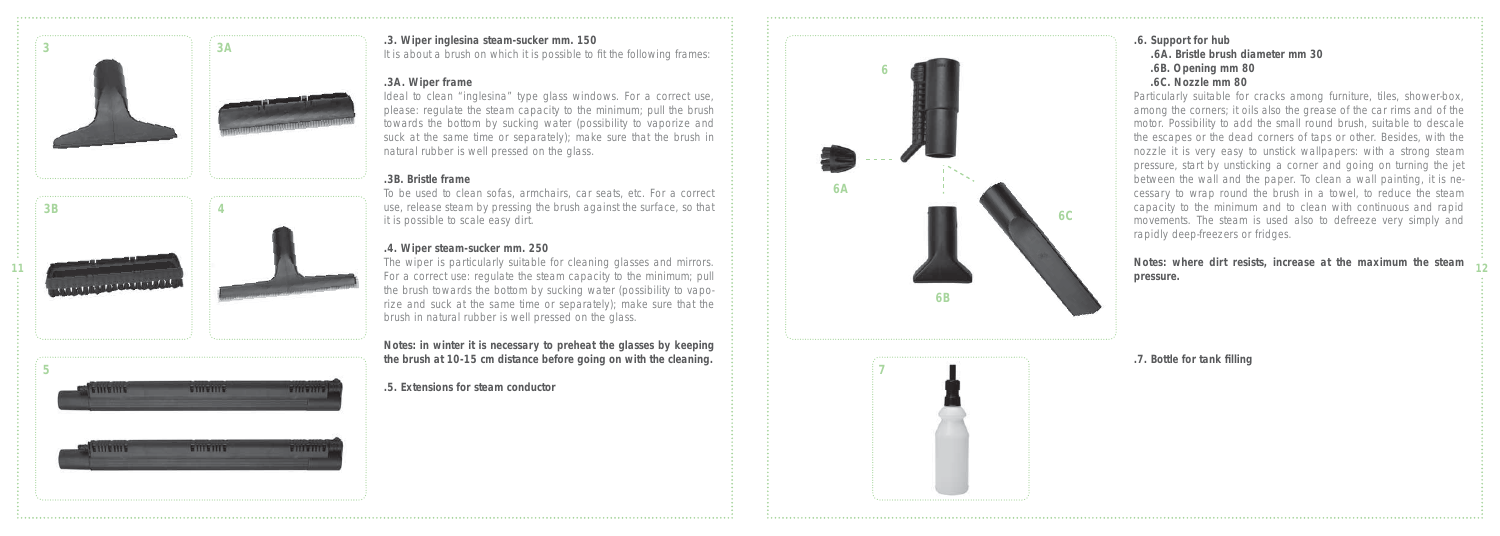# *.3. Wiper inglesina steam-sucker mm. 150*

It is about a brush on which it is possible to fit the following frames:

# *.3A. Wiper frame*

Ideal to clean "inglesina" type glass windows. For a correct use, please: regulate the steam capacity to the minimum; pull the brush towards the bottom by sucking water (possibility to vaporize and suck at the same time or separately); make sure that the brush in natural rubber is well pressed on the glass.

# *.3B. Bristle frame*

To be used to clean sofas, armchairs, car seats, etc. For a correct use, release steam by pressing the brush against the surface, so that it is possible to scale easy dirt.

# *.4. Wiper steam-sucker mm. 250*

The wiper is particularly suitable for cleaning glasses and mirrors. the brush towards the bottom by sucking water (possibility to vaporize and suck at the same time or separately); make sure that the brush in natural rubber is well pressed on the glass.



**Notes: in winter it is necessary to preheat the glasses by keeping the brush at 10-15 cm distance before going on with the cleaning.**

*.5. Extensions for steam conductor*

#### *.6. Support for hub*

#### *.6A. Bristle brush diameter mm 30*

#### *.6B. Opening mm 80*

#### *.6C. Nozzle mm 80*

Particularly suitable for cracks among furniture, tiles, shower-box, among the corners; it oils also the grease of the car rims and of the motor. Possibility to add the small round brush, suitable to descale the escapes or the dead corners of taps or other. Besides, with the nozzle it is very easy to unstick wallpapers: with a strong steam pressure, start by unsticking a corner and going on turning the jet between the wall and the paper. To clean a wall painting, it is necessary to wrap round the brush in a towel, to reduce the steam capacity to the minimum and to clean with continuous and rapid movements. The steam is used also to defreeze very simply and rapidly deep-freezers or fridges.

**Notes: where dirt resists, increase at the maximum the steam pressure.**

*.7. Bottle for tank fi lling* 

**3B**







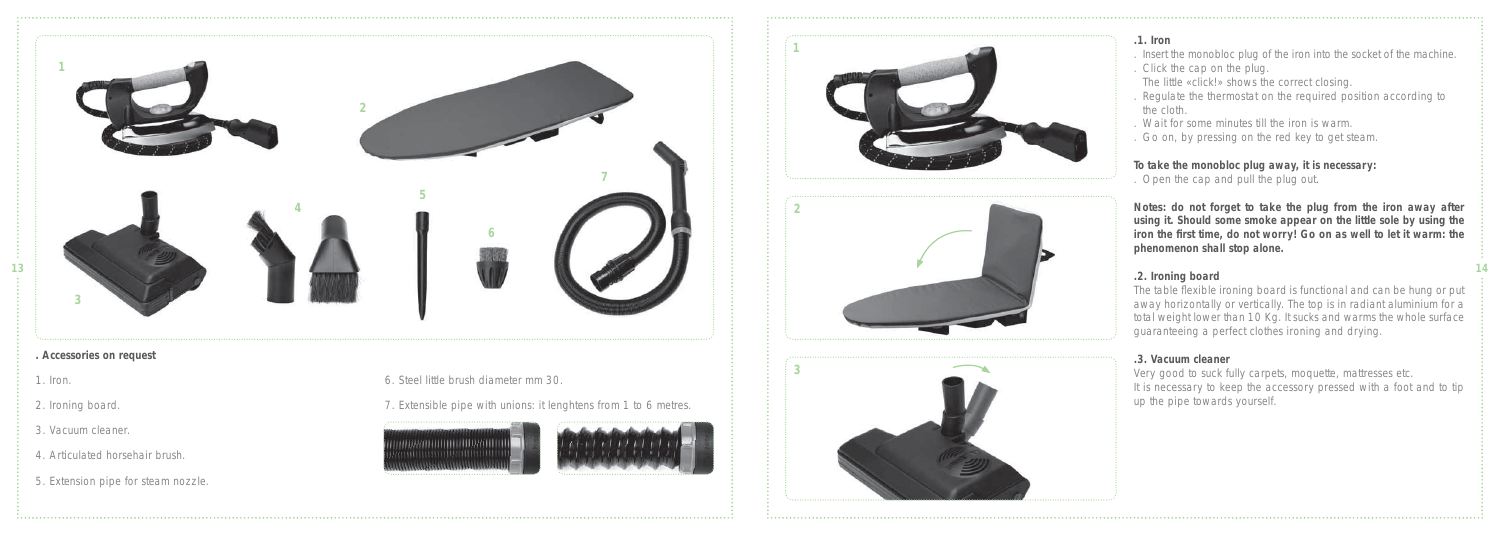# **. Accessories on request**

- 1. Iron.
- 2. Ironing board.
- 3. Vacuum cleaner.
- 4. Articulated horsehair brush.
- 5. Extension pipe for steam nozzle.
- 6. Steel little brush diameter mm 30.
- 7. Extensible pipe with unions: it lenghtens from 1 to 6 metres.







# *.1. Iron*

- . Insert the monobloc plug of the iron into the socket of the machine.
- . Click the cap on the plug. The little «click!» shows the correct closing.
- . Regulate the thermostat on the required position according to the cloth.
- . Wait for some minutes till the iron is warm.
- . Go on, by pressing on the red key to get steam.

The table flexible ironing board is functional and can be hung or put away horizontally or vertically. The top is in radiant aluminium for a total weight lower than 10 Kg. It sucks and warms the whole surface guaranteeing a perfect clothes ironing and drying.

# **To take the monobloc plug away, it is necessary:**

. Open the cap and pull the plug out.



**Notes: do not forget to take the plug from the iron away after using it. Should some smoke appear on the little sole by using the**  iron the first time, do not worry! Go on as well to let it warm: the **phenomenon shall stop alone.**

# *.2. Ironing board*

# *.3. Vacuum cleaner*

Very good to suck fully carpets, moquette, mattresses etc. It is necessary to keep the accessory pressed with a foot and to tip up the pipe towards yourself.



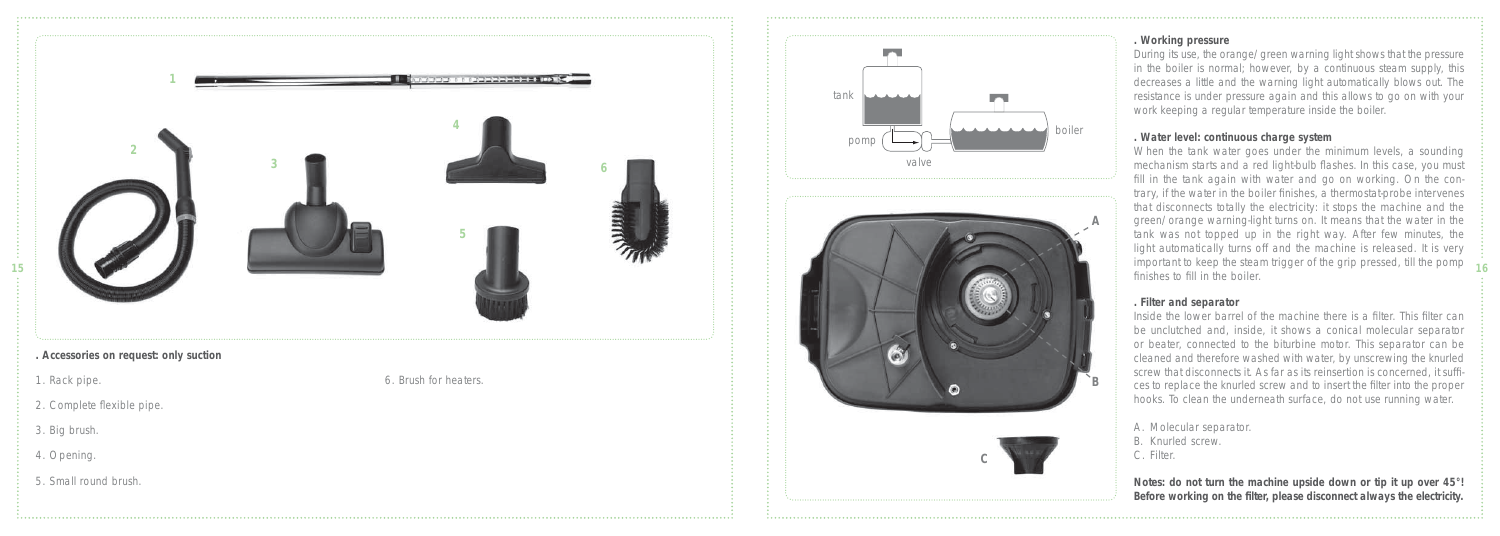### **. Working pressure**

During its use, the orange/green warning light shows that the pressure in the boiler is normal; however, by a continuous steam supply, this decreases a little and the warning light automatically blows out. The resistance is under pressure again and this allows to go on with your work keeping a regular temperature inside the boiler.

## **. Water level: continuous charge system**

When the tank water goes under the minimum levels, a sounding mechanism starts and a red light-bulb flashes. In this case, you must fill in the tank again with water and go on working. On the contrary, if the water in the boiler finishes, a thermostat-probe intervenes that disconnects totally the electricity: it stops the machine and the green/orange warning-light turns on. It means that the water in the tank was not topped up in the right way. After few minutes, the light automatically turns off and the machine is released. It is very important to keep the steam trigger of the grip pressed, till the pomp finishes to fill in the boiler.

Inside the lower barrel of the machine there is a filter. This filter can be unclutched and, inside, it shows a conical molecular separator or beater, connected to the biturbine motor. This separator can be cleaned and therefore washed with water, by unscrewing the knurled screw that disconnects it. As far as its reinsertion is concerned, it suffices to replace the knurled screw and to insert the filter into the proper hooks. To clean the underneath surface, do not use running water.

**Notes: do not turn the machine upside down or tip it up over 45°!**  Before working on the filter, please disconnect always the electricity.



#### **. Filter and separator**

- A. Molecular separator.
- B. Knurled screw.
- C. Filter.